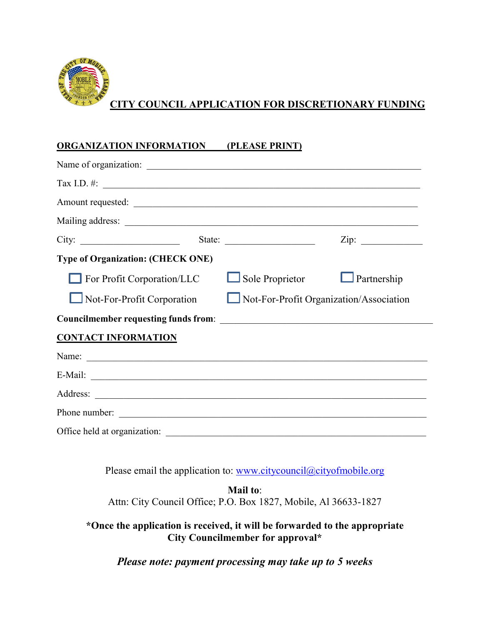

## **CITY COUNCIL APPLICATION FOR DISCRETIONARY FUNDING**

## **ORGANIZATION INFORMATION (PLEASE PRINT)**

|                                                                              |        | Tax I.D. #: $\qquad \qquad$ |                 |
|------------------------------------------------------------------------------|--------|-----------------------------|-----------------|
|                                                                              |        |                             |                 |
|                                                                              |        |                             |                 |
| City:                                                                        | State: |                             | $\mathsf{Zip:}$ |
| <b>Type of Organization: (CHECK ONE)</b>                                     |        |                             |                 |
| For Profit Corporation/LLC                                                   |        | $\Box$ Sole Proprietor      | Partnership     |
| Not-For-Profit Organization/Association<br>$\Box$ Not-For-Profit Corporation |        |                             |                 |
|                                                                              |        |                             |                 |
| <b>CONTACT INFORMATION</b>                                                   |        |                             |                 |
|                                                                              |        |                             |                 |
|                                                                              |        |                             |                 |
|                                                                              |        |                             |                 |
|                                                                              |        |                             |                 |
| Office held at organization:                                                 |        |                             |                 |

Please email the application to: [www.citycouncil@cityofmobile.org](http://www.citycouncil@cityofmobile.org)

**Mail to**: Attn: City Council Office; P.O. Box 1827, Mobile, Al 36633-1827

**\*Once the application is received, it will be forwarded to the appropriate City Councilmember for approval\***

*Please note: payment processing may take up to 5 weeks*